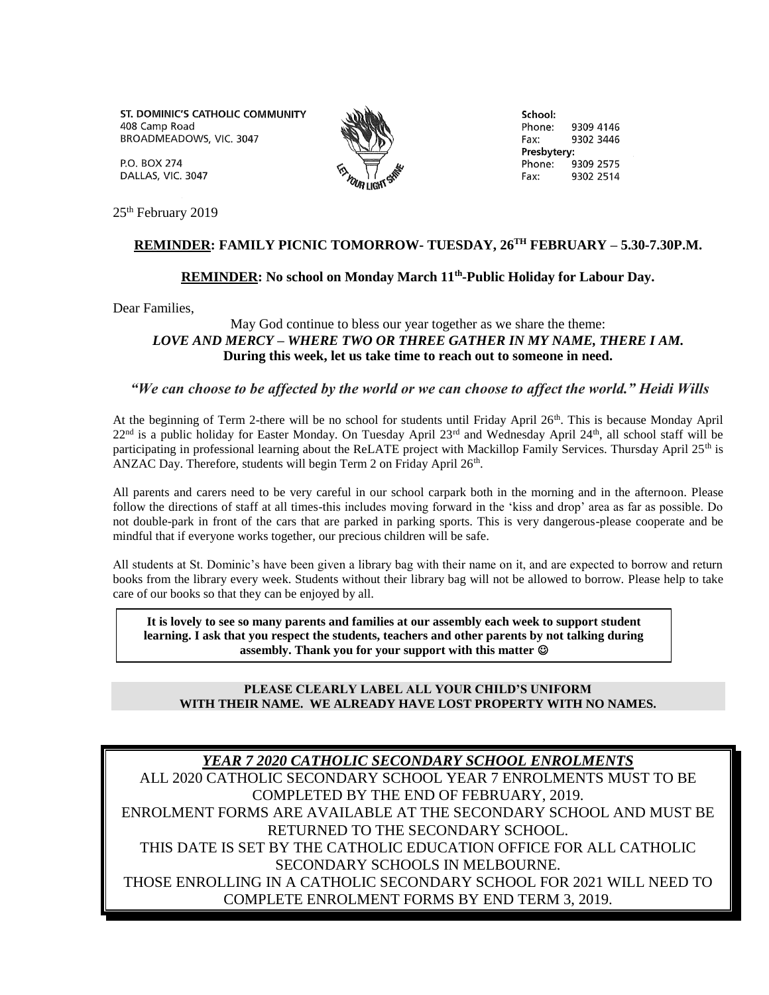ST. DOMINIC'S CATHOLIC COMMUNITY 408 Camp Road BROADMEADOWS, VIC. 3047

School: Phone: 9309 4146 Fax: 9302 3446 Presbytery: Phone<sup>.</sup> 9309 2575 9302 2514 Fax:

**P.O. BOX 274** DALLAS, VIC. 3047

25<sup>th</sup> February 2019

## **REMINDER: FAMILY PICNIC TOMORROW- TUESDAY, 26TH FEBRUARY – 5.30-7.30P.M.**

## **REMINDER: No school on Monday March 11th -Public Holiday for Labour Day.**

Dear Families,

## May God continue to bless our year together as we share the theme: *LOVE AND MERCY – WHERE TWO OR THREE GATHER IN MY NAME, THERE I AM.* **During this week, let us take time to reach out to someone in need.**

## *"We can choose to be affected by the world or we can choose to affect the world." Heidi Wills*

At the beginning of Term 2-there will be no school for students until Friday April 26<sup>th</sup>. This is because Monday April  $22<sup>nd</sup>$  is a public holiday for Easter Monday. On Tuesday April  $23<sup>rd</sup>$  and Wednesday April  $24<sup>th</sup>$ , all school staff will be participating in professional learning about the ReLATE project with Mackillop Family Services. Thursday April 25<sup>th</sup> is ANZAC Day. Therefore, students will begin Term 2 on Friday April 26<sup>th</sup>.

All parents and carers need to be very careful in our school carpark both in the morning and in the afternoon. Please follow the directions of staff at all times-this includes moving forward in the 'kiss and drop' area as far as possible. Do not double-park in front of the cars that are parked in parking sports. This is very dangerous-please cooperate and be mindful that if everyone works together, our precious children will be safe.

All students at St. Dominic's have been given a library bag with their name on it, and are expected to borrow and return books from the library every week. Students without their library bag will not be allowed to borrow. Please help to take care of our books so that they can be enjoyed by all.

**It is lovely to see so many parents and families at our assembly each week to support student learning. I ask that you respect the students, teachers and other parents by not talking during assembly. Thank you for your support with this matter** 

#### **PLEASE CLEARLY LABEL ALL YOUR CHILD'S UNIFORM WITH THEIR NAME. WE ALREADY HAVE LOST PROPERTY WITH NO NAMES.**

# *YEAR 7 2020 CATHOLIC SECONDARY SCHOOL ENROLMENTS*

ALL 2020 CATHOLIC SECONDARY SCHOOL YEAR 7 ENROLMENTS MUST TO BE COMPLETED BY THE END OF FEBRUARY, 2019.

ENROLMENT FORMS ARE AVAILABLE AT THE SECONDARY SCHOOL AND MUST BE RETURNED TO THE SECONDARY SCHOOL.

THIS DATE IS SET BY THE CATHOLIC EDUCATION OFFICE FOR ALL CATHOLIC SECONDARY SCHOOLS IN MELBOURNE.

THOSE ENROLLING IN A CATHOLIC SECONDARY SCHOOL FOR 2021 WILL NEED TO COMPLETE ENROLMENT FORMS BY END TERM 3, 2019.